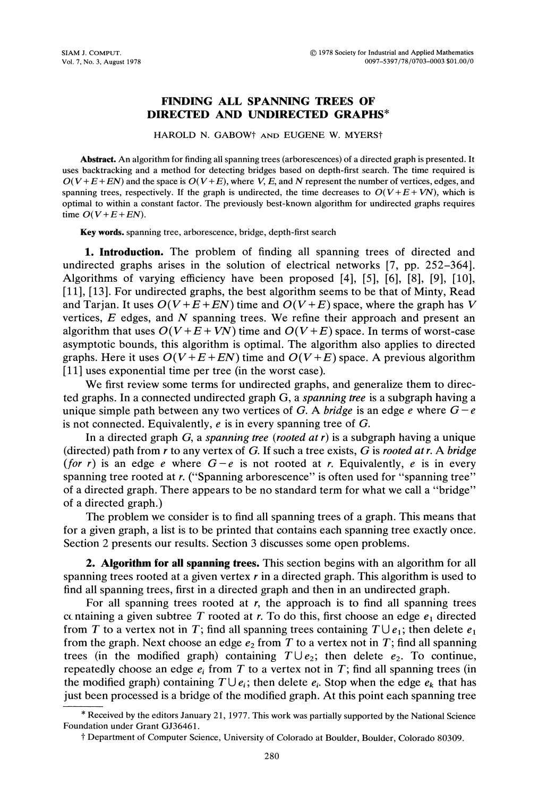## FINDING ALL SPANNING TREES OF DIRECTED AND UNDIRECTED GRAPHS\*

HAROLD N. GABOW<sup>†</sup> AND EUGENE W. MYERS<sup>†</sup>

Abstract. An algorithm for finding all spanning trees (arborescences) of <sup>a</sup> directed graph is presented. It uses backtracking and a method for detecting bridges based on depth-first search. The time required is  $O(V+E+EN)$  and the space is  $O(V+E)$ , where V, E, and N represent the number of vertices, edges, and spanning trees, respectively. If the graph is undirected, the time decreases to  $O(V + E + VN)$ , which is optimal to within a constant factor. The previously best-known algorithm for undirected graphs requires time  $O(V + E + EN)$ .

Key words, spanning tree, arborescence, bridge, depth-first search

1. Introduction. The problem of finding all spanning trees of directed and undirected graphs arises in the solution of electrical networks [7, pp. 252-364]. Algorithms of varying efficiency have been proposed [4], [5], [6], [8], [9], [10], [11], [13]. For undirected graphs, the best algorithm seems to be that of Minty, Read and Tarjan. It uses  $O(V + E + EN)$  time and  $O(V + E)$  space, where the graph has V vertices,  $E$  edges, and  $N$  spanning trees. We refine their approach and present an algorithm that uses  $O(V + E + VN)$  time and  $O(V + E)$  space. In terms of worst-case asymptotic bounds, this algorithm is optimal. The algorithm also applies to directed graphs. Here it uses  $O(V + E + EN)$  time and  $O(V + E)$  space. A previous algorithm [11] uses exponential time per tree (in the worst case).

We first review some terms for undirected graphs, and generalize them to directed graphs. In a connected undirected graph  $G$ , a *spanning tree* is a subgraph having a unique simple path between any two vertices of G. A *bridge* is an edge e where  $G-e$ is not connected. Equivalently,  $e$  is in every spanning tree of  $G$ .

In a directed graph  $G$ , a spanning tree (rooted at r) is a subgraph having a unique (directed) path from r to any vertex of G. If such a tree exists, G is rooted at r. A bridge (for r) is an edge e where  $G-e$  is not rooted at r. Equivalently, e is in every spanning tree rooted at r. ("Spanning arborescence" is often used for "spanning tree" of a directed graph. There appears to be no standard term for what we call a "bridge" of a directed graph.)

The problem we consider is to find all spanning trees of a graph. This means that for a given graph, a list is to be printed that contains each spanning tree exactly once. Section 2 presents our results. Section 3 discusses some open problems.

**2. Algorithm for all spanning trees.** This section begins with an algorithm for all spanning trees rooted at a given vertex  $r$  in a directed graph. This algorithm is used to find all spanning trees, first in a directed graph and then in an undirected graph.

For all spanning trees rooted at  $r$ , the approach is to find all spanning trees ccntaining a given subtree T rooted at r. To do this, first choose an edge  $e_1$  directed from T to a vertex not in T; find all spanning trees containing  $T \cup e_1$ ; then delete  $e_1$ from the graph. Next choose an edge  $e_2$  from T to a vertex not in T; find all spanning trees (in the modified graph) containing  $T \cup e_2$ ; then delete  $e_2$ . To continue, repeatedly choose an edge  $e_i$  from T to a vertex not in T; find all spanning trees (in the modified graph) containing  $T \cup e_i$ ; then delete  $e_i$ . Stop when the edge  $e_k$  that has just been processed is a bridge of the modified graph. At this point each spanning tree

<sup>\*</sup> Received by the editors January 21, 1977. This work was partially supported by the National Science Foundation under Grant GJ36461.

<sup>]&</sup>quot; Department of Computer Science, University of Colorado at Boulder, Boulder, Colorado 80309.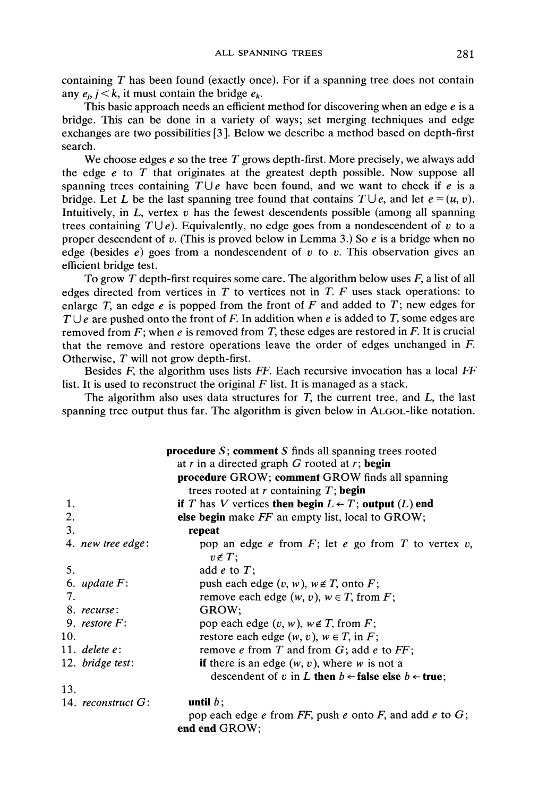containing T has been found (exactly once). For if <sup>a</sup> spanning tree does not contain any  $e_i$ ,  $i < k$ , it must contain the bridge  $e_k$ .

This basic approach needs an efficient method for discovering when an edge  $e$  is a bridge. This can be done in a variety of ways; set merging techniques and edge exchanges are two possibilities [3 ]. Below we describe a method based on depth-first search.

We choose edges  $e$  so the tree  $T$  grows depth-first. More precisely, we always add the edge  $e$  to  $T$  that originates at the greatest depth possible. Now suppose all spanning trees containing  $T \cup e$  have been found, and we want to check if e is a bridge. Let L be the last spanning tree found that contains  $T \cup e$ , and let  $e = (u, v)$ . Intuitively, in  $L$ , vertex  $v$  has the fewest descendents possible (among all spanning trees containing  $T \cup e$ ). Equivalently, no edge goes from a nondescendent of v to a proper descendent of v. (This is proved below in Lemma 3.) So  $e$  is a bridge when no edge (besides  $e$ ) goes from a nondescendent of v to v. This observation gives an efficient bridge test.

To grow T depth-first requires some care. The algorithm below uses  $F$ , a list of all edges directed from vertices in  $T$  to vertices not in  $T$ .  $F$  uses stack operations: to enlarge T, an edge  $e$  is popped from the front of  $F$  and added to  $T$ ; new edges for  $T \cup e$  are pushed onto the front of F. In addition when e is added to T, some edges are removed from  $F$ ; when e is removed from T, these edges are restored in F. It is crucial that the remove and restore operations leave the order of edges unchanged in F. Otherwise, T will not grow depth-first.

Besides  $F$ , the algorithm uses lists  $FF$ . Each recursive invocation has a local  $FF$ list. It is used to reconstruct the original  $F$  list. It is managed as a stack.

The algorithm also uses data structures for  $T$ , the current tree, and  $L$ , the last spanning tree output thus far. The algorithm is given below in ALGOL-like notation.

|                       | <b>procedure</b> $S$ ; <b>comment</b> $S$ finds all spanning trees rooted        |
|-----------------------|----------------------------------------------------------------------------------|
|                       | at r in a directed graph $G$ rooted at r; begin                                  |
|                       | procedure GROW; comment GROW finds all spanning                                  |
|                       | trees rooted at $r$ containing $T$ ; begin                                       |
| 1.                    | if T has V vertices then begin $L \leftarrow T$ ; output $(L)$ end               |
| 2.                    | else begin make FF an empty list, local to GROW;                                 |
| 3.                    | repeat                                                                           |
| 4. new tree edge:     | pop an edge $e$ from $F$ ; let $e$ go from $T$ to vertex $v$ ,<br>$v \notin T$ ; |
| 5.                    | add $e$ to $T$ ;                                                                 |
| 6. update $F$ :       | push each edge $(v, w)$ , $w \notin T$ , onto F;                                 |
| 7.                    | remove each edge $(w, v)$ , $w \in T$ , from F;                                  |
| 8. recurse:           | GROW:                                                                            |
| 9. restore $F$ :      | pop each edge $(v, w)$ , $w \notin T$ , from F;                                  |
| 10.                   | restore each edge $(w, v)$ , $w \in T$ , in F;                                   |
| 11. delete $e$ :      | remove $e$ from $T$ and from $G$ ; add $e$ to $FF$ ;                             |
| 12. bridge test:      | if there is an edge $(w, v)$ , where w is not a                                  |
|                       | descendent of v in L then $b \leftarrow$ false else $b \leftarrow$ true;         |
| 13.                   |                                                                                  |
| 14. reconstruct $G$ : | until $b$ ;                                                                      |
|                       | pop each edge $e$ from FF, push $e$ onto F, and add $e$ to $G$ ;                 |

end end GROW;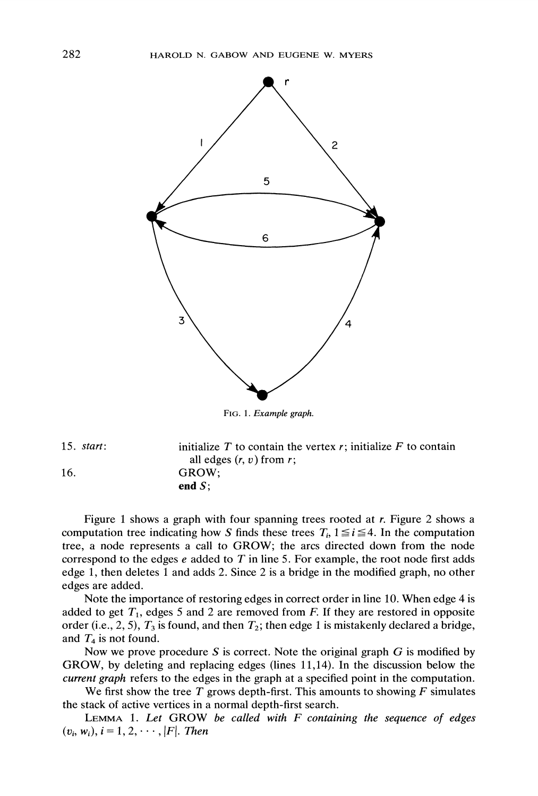

FIG. 1. Example graph.

15. start: 16. initialize  $T$  to contain the vertex  $r$ ; initialize  $F$  to contain all edges  $(r, v)$  from  $r$ ; GROW; end S;

Figure <sup>1</sup> shows a graph with four spanning trees rooted at r. Figure 2 shows a computation tree indicating how S finds these trees  $T_i$ ,  $1 \le i \le 4$ . In the computation tree, <sup>a</sup> node represents <sup>a</sup> call to GROW; the arcs directed down from the node correspond to the edges  $e$  added to  $T$  in line 5. For example, the root node first adds edge 1, then deletes <sup>1</sup> and adds 2. Since 2 is a bridge in the modified graph, no other edges are added.

Note the importance of restoring edges in correct order in line 10. When edge 4 is added to get  $T_1$ , edges 5 and 2 are removed from F. If they are restored in opposite order (i.e., 2, 5),  $T_3$  is found, and then  $T_2$ ; then edge 1 is mistakenly declared a bridge, and  $T_4$  is not found.

Now we prove procedure S is correct. Note the original graph  $G$  is modified by GROW, by deleting and replacing edges (lines 11,14). In the discussion below the current graph refers to the edges in the graph at a specified point in the computation.

We first show the tree T grows depth-first. This amounts to showing  $F$  simulates the stack of active vertices in a normal depth-first search.

LEMMA 1. Let GROW be called with  $F$  containing the sequence of edges  $(v_i, w_i), i = 1, 2, \cdots, |F|$ . Then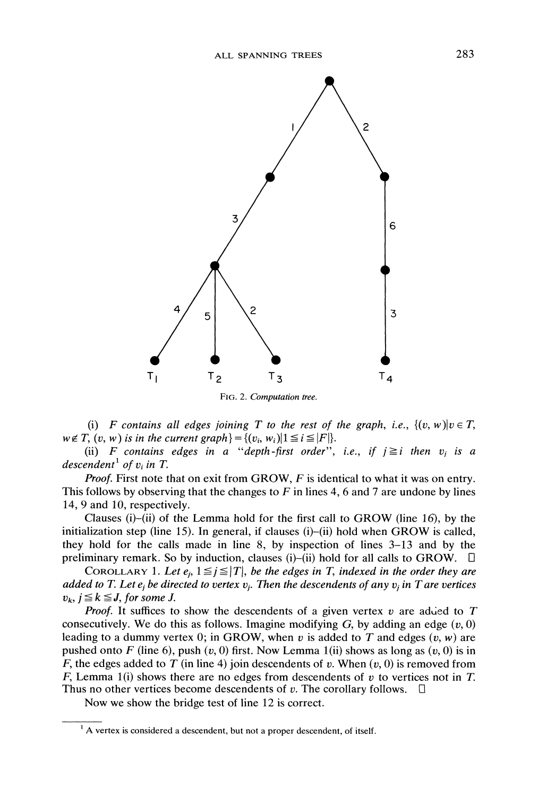

(i) F contains all edges joining T to the rest of the graph, i.e.,  $\{(v, w)|v \in T$ ,  $w \notin T$ ,  $(v, w)$  is in the current graph  $= \{(v_i, w_i) | 1 \leq i \leq |F|\}.$ 

(ii) F contains edges in a "depth-first order", i.e., if  $j \geq i$  then  $v_i$  is a descendent<sup>1</sup> of  $v_i$  in T.

*Proof.* First note that on exit from GROW,  $F$  is identical to what it was on entry. This follows by observing that the changes to  $F$  in lines 4, 6 and 7 are undone by lines 14, 9 and 10, respectively.

Clauses (i)-(ii) of the Lemma hold for the first call to GROW (line 16), by the initialization step (line 15). In general, if clauses (i)-(ii) hold when GROW is called, they hold for the calls made in line 8, by inspection of lines 3-13 and by the preliminary remark. So by induction, clauses (i)-(ii) hold for all calls to GROW.  $\Box$ 

COROLLARY 1. Let  $e_i$ ,  $1 \leq j \leq |T|$ , be the edges in T, indexed in the order they are added to T. Let  $e_i$  be directed to vertex  $v_i$ . Then the descendents of any  $v_i$  in T are vertices  $v_k$ ,  $j \leq k \leq J$ , for some J.

*Proof.* It suffices to show the descendents of a given vertex  $v$  are added to  $T$ consecutively. We do this as follows. Imagine modifying  $G$ , by adding an edge  $(v, 0)$ leading to a dummy vertex 0; in GROW, when v is added to T and edges  $(v, w)$  are pushed onto F (line 6), push  $(v, 0)$  first. Now Lemma 1(ii) shows as long as  $(v, 0)$  is in F, the edges added to T (in line 4) join descendents of v. When  $(v, 0)$  is removed from F, Lemma 1(i) shows there are no edges from descendents of v to vertices not in T. Thus no other vertices become descendents of v. The corollary follows.  $\Box$ 

Now we show the bridge test of line <sup>12</sup> is correct.

 $<sup>1</sup>$  A vertex is considered a descendent, but not a proper descendent, of itself.</sup>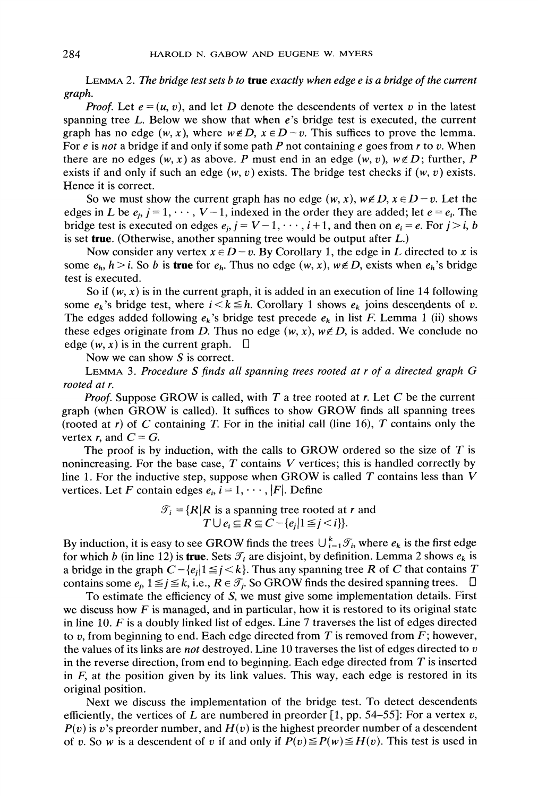LEMMA 2. The bridge test sets b to true exactly when edge  $e$  is a bridge of the current graph.

*Proof.* Let  $e = (u, v)$ , and let D denote the descendents of vertex v in the latest spanning tree L. Below we show that when e's bridge test is executed, the current graph has no edge  $(w, x)$ , where  $w \notin D$ ,  $x \in D - v$ . This suffices to prove the lemma. For e is not a bridge if and only if some path P not containing e goes from  $r$  to v. When there are no edges  $(w, x)$  as above. P must end in an edge  $(w, v)$ ,  $w \notin D$ ; further, P exists if and only if such an edge  $(w, v)$  exists. The bridge test checks if  $(w, v)$  exists. Hence it is correct.

So we must show the current graph has no edge  $(w, x)$ ,  $w \notin D$ ,  $x \in D-v$ . Let the edges in L be  $e_i$ ,  $j = 1, \dots, V-1$ , indexed in the order they are added; let  $e = e_i$ . The bridge test is executed on edges  $e_j$ ,  $j = V-1, \dots, i+1$ , and then on  $e_i = e$ . For  $j > i$ , b is set true. (Otherwise, another spanning tree would be output after  $L$ .)

Now consider any vertex  $x \in D - v$ . By Corollary 1, the edge in L directed to x is some  $e_h$ ,  $h > i$ . So b is **true** for  $e_h$ . Thus no edge  $(w, x)$ ,  $w \notin D$ , exists when  $e_h$ 's bridge test is executed.

So if  $(w, x)$  is in the current graph, it is added in an execution of line 14 following some  $e_k$ 's bridge test, where  $i < k \leq h$ . Corollary 1 shows  $e_k$  joins descendents of v. The edges added following  $e_k$ 's bridge test precede  $e_k$  in list F. Lemma 1 (ii) shows these edges originate from D. Thus no edge  $(w, x)$ ,  $w \notin D$ , is added. We conclude no edge  $(w, x)$  is in the current graph.  $\Box$ 

Now we can show S is correct.

LEMMA 3. Procedure <sup>S</sup> finds all spanning trees rooted at <sup>r</sup> of <sup>a</sup> directed graph G rooted at r.

**Proof.** Suppose GROW is called, with T a tree rooted at r. Let C be the current graph (when GROW is called). It suffices to show GROW finds all spanning trees (rooted at r) of C containing T. For in the initial call (line 16), T contains only the vertex r, and  $C = G$ .

The proof is by induction, with the calls to GROW ordered so the size of  $T$  is nonincreasing. For the base case,  $T$  contains  $V$  vertices; this is handled correctly by line 1. For the inductive step, suppose when GROW is called  $T$  contains less than  $V$ vertices. Let F contain edges  $e_i$ ,  $i = 1, \dots, |F|$ . Define

$$
\mathcal{T}_i = \{ R | R \text{ is a spanning tree rooted at } r \text{ and } T \cup e_i \subseteq R \subseteq C - \{ e_j | 1 \leq j < i \} \}.
$$

By induction, it is easy to see GROW finds the trees  $\bigcup_{i=1}^{k} \mathcal{T}_i$ , where  $e_k$  is the first edge for which b (in line 12) is true. Sets  $\mathcal{T}_i$  are disjoint, by definition. Lemma 2 shows  $e_k$  is a bridge in the graph  $C-\{e_i | 1 \leq i < k\}$ . Thus any spanning tree R of C that contains T contains some  $e_i$ ,  $1 \leq i \leq k$ , i.e.,  $R \in \mathcal{T}_i$ . So GROW finds the desired spanning trees.  $\Box$ 

To estimate the efficiency of S, we must give some implementation details. First we discuss how  $F$  is managed, and in particular, how it is restored to its original state in line 10. F is <sup>a</sup> doubly linked list of edges. Line <sup>7</sup> traverses the list of edges directed to v, from beginning to end. Each edge directed from  $T$  is removed from  $F$ ; however, the values of its links are *not* destroyed. Line 10 traverses the list of edges directed to  $v$ in the reverse direction, from end to beginning. Each edge directed from  $T$  is inserted in  $F$ , at the position given by its link values. This way, each edge is restored in its original position.

Next we discuss the implementation of the bridge test. To detect descendents efficiently, the vertices of L are numbered in preorder [1, pp. 54–55]: For a vertex v,  $P(v)$  is v's preorder number, and  $H(v)$  is the highest preorder number of a descendent of v. So w is a descendent of v if and only if  $P(v) \le P(w) \le H(v)$ . This test is used in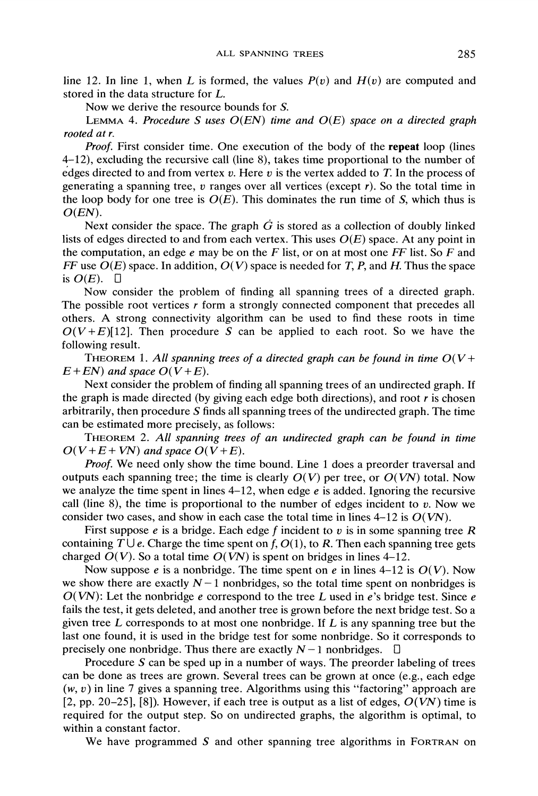line 12. In line 1, when L is formed, the values  $P(v)$  and  $H(v)$  are computed and stored in the data structure for L.

Now we derive the resource bounds for S.

LEMMA 4. Procedure S uses  $O(EN)$  time and  $O(E)$  space on a directed graph rooted at r.

Proof. First consider time. One execution of the body of the repeat loop (lines 4-12), excluding the recursive call (line 8), takes time proportional to the number of edges directed to and from vertex  $v$ . Here  $v$  is the vertex added to  $T$ . In the process of generating a spanning tree,  $v$  ranges over all vertices (except  $r$ ). So the total time in the loop body for one tree is  $O(E)$ . This dominates the run time of S, which thus is  $O(EN).$ 

Next consider the space. The graph  $\dot{G}$  is stored as a collection of doubly linked lists of edges directed to and from each vertex. This uses  $O(E)$  space. At any point in the computation, an edge  $e$  may be on the  $F$  list, or on at most one  $FF$  list. So  $F$  and FF use  $O(E)$  space. In addition,  $O(V)$  space is needed for T, P, and H. Thus the space is  $O(E)$ .  $\Box$ 

Now consider the problem of finding all spanning trees of <sup>a</sup> directed graph. The possible root vertices  $r$  form a strongly connected component that precedes all others. A strong connectivity algorithm can be used to find these roots in time  $O(V+E)[12]$ . Then procedure S can be applied to each root. So we have the following result.

THEOREM 1. All spanning trees of a directed graph can be found in time  $O(V+$  $E + EN$ ) and space  $O(V + E)$ .

Next consider the problem of finding all spanning trees of an undirected graph. If the graph is made directed (by giving each edge both directions), and root  $r$  is chosen arbitrarily, then procedure S finds all spanning trees of the undirected graph. The time can be estimated more precisely, as follows:

THEOREM 2. All spanning trees of an undirected graph can be found in time  $O(V+E+VN)$  and space  $O(V+E)$ .

Proof. We need only show the time bound. Line 1 does a preorder traversal and outputs each spanning tree; the time is clearly  $O(V)$  per tree, or  $O(VN)$  total. Now we analyze the time spent in lines  $4-12$ , when edge e is added. Ignoring the recursive call (line 8), the time is proportional to the number of edges incident to v. Now we consider two cases, and show in each case the total time in lines  $4-12$  is  $O(VN)$ .

First suppose  $e$  is a bridge. Each edge  $f$  incident to  $v$  is in some spanning tree  $R$ containing  $T \cup e$ . Charge the time spent on f,  $O(1)$ , to R. Then each spanning tree gets charged  $O(V)$ . So a total time  $O(VN)$  is spent on bridges in lines 4–12.

Now suppose *e* is a nonbridge. The time spent on *e* in lines 4–12 is  $O(V)$ . Now we show there are exactly  $N-1$  nonbridges, so the total time spent on nonbridges is  $O(VN)$ : Let the nonbridge e correspond to the tree L used in e's bridge test. Since e fails the test, it gets deleted, and another tree is grown before the next bridge test. So a given tree  $L$  corresponds to at most one nonbridge. If  $L$  is any spanning tree but the last one found, it is used in the bridge test for some nonbridge. So it corresponds to precisely one nonbridge. Thus there are exactly  $N-1$  nonbridges.  $\Box$ 

Procedure  $S$  can be sped up in a number of ways. The preorder labeling of trees can be done as trees are grown. Several trees can be grown at once (e.g., each edge  $(w, v)$  in line 7 gives a spanning tree. Algorithms using this "factoring" approach are [2, pp. 20–25], [8]). However, if each tree is output as a list of edges,  $O(VN)$  time is required for the output step. So on undirected graphs, the algorithm is optimal, to within a constant factor.

We have programmed  $S$  and other spanning tree algorithms in FORTRAN on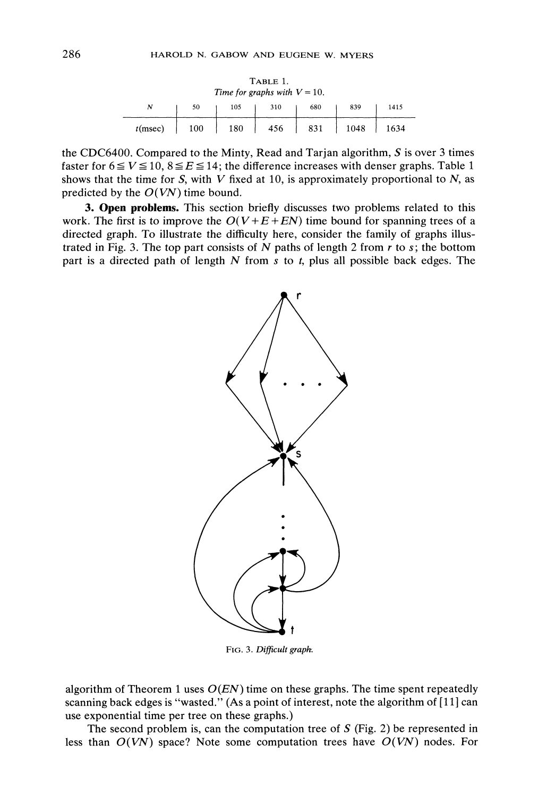| TABLE 1.<br>Time for graphs with $V = 10$ . |     |     |     |     |      |      |  |  |
|---------------------------------------------|-----|-----|-----|-----|------|------|--|--|
| Ν                                           | 50  | 105 | 310 | 680 | 839  | 1415 |  |  |
| $t$ (msec)                                  | 100 | 180 | 456 | 831 | 1048 | 1634 |  |  |

the CDC6400. Compared to the Minty, Read and Tarjan algorithm,  $S$  is over 3 times faster for  $6 \le V \le 10$ ,  $8 \le E \le 14$ ; the difference increases with denser graphs. Table 1 shows that the time for S, with V fixed at 10, is approximately proportional to  $N$ , as predicted by the  $O(VN)$  time bound.

3. Open problems. This section briefly discusses two problems related to this work. The first is to improve the  $O(V + E + EN)$  time bound for spanning trees of a directed graph. To illustrate the difficulty here, consider the family of graphs illustrated in Fig. 3. The top part consists of N paths of length 2 from  $r$  to  $s$ ; the bottom part is a directed path of length  $N$  from  $s$  to  $t$ , plus all possible back edges. The



FIG. 3. Difficult graph.

algorithm of Theorem 1 uses  $O(EN)$  time on these graphs. The time spent repeatedly scanning back edges is "wasted." (As a point of interest, note the algorithm of [11] can use exponential time per tree on these graphs.)

The second problem is, can the computation tree of  $S$  (Fig. 2) be represented in less than  $O(VN)$  space? Note some computation trees have  $O(VN)$  nodes. For